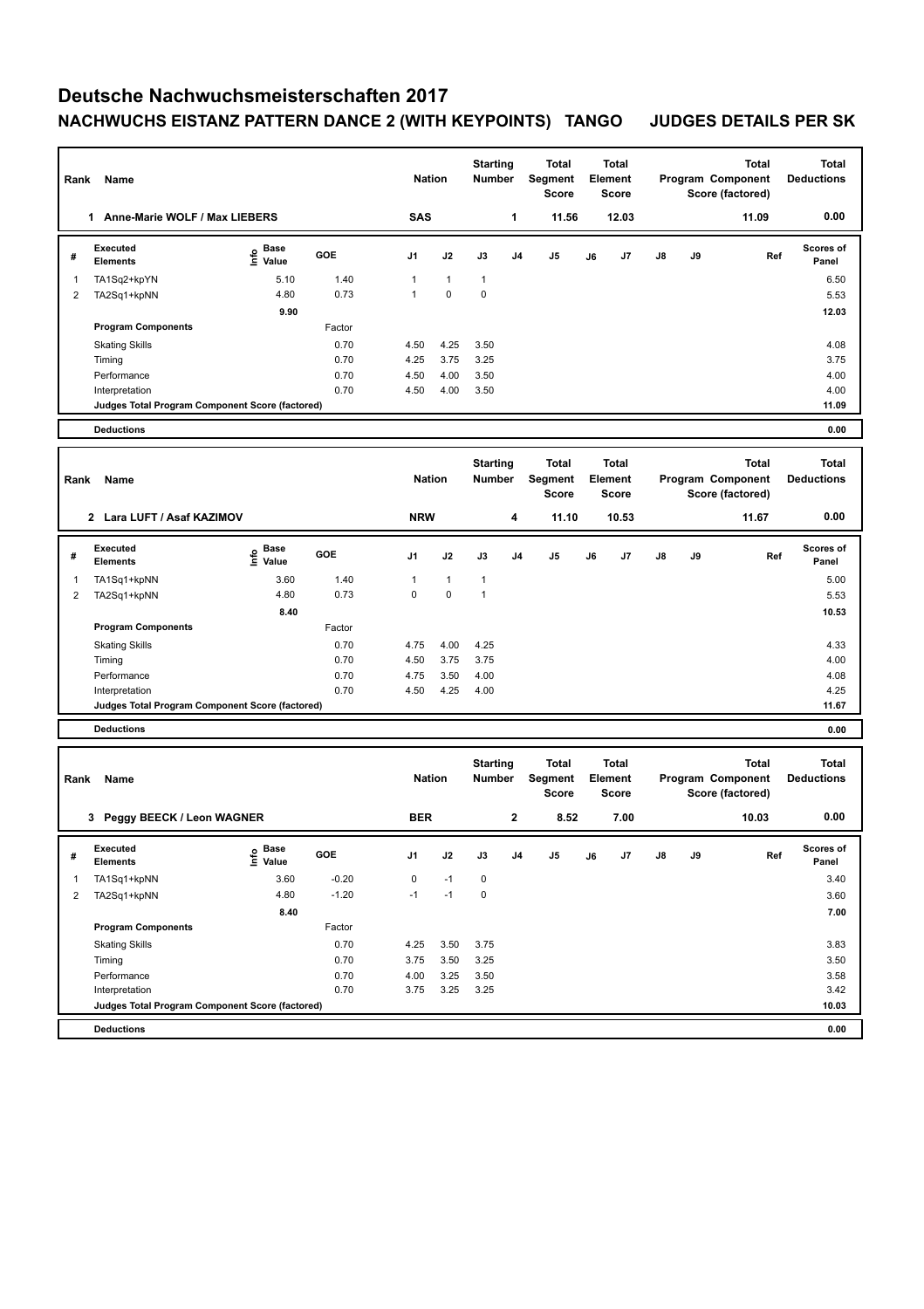## **Deutsche Nachwuchsmeisterschaften 2017 NACHWUCHS EISTANZ PATTERN DANCE 2 (WITH KEYPOINTS) TANGO JUDGES DETAILS PER SK**

| Rank           | Name                                            |                                           |              | <b>Nation</b>  |               | <b>Starting</b><br><b>Number</b> | <b>Total</b><br>Segment<br><b>Score</b> | Total<br>Element<br><b>Score</b>        | <b>Total</b><br>Program Component<br>Score (factored) |    |                                                       | <b>Total</b><br><b>Deductions</b>                     |                                   |
|----------------|-------------------------------------------------|-------------------------------------------|--------------|----------------|---------------|----------------------------------|-----------------------------------------|-----------------------------------------|-------------------------------------------------------|----|-------------------------------------------------------|-------------------------------------------------------|-----------------------------------|
|                | 1 Anne-Marie WOLF / Max LIEBERS                 |                                           |              | <b>SAS</b>     |               |                                  | 1                                       | 11.56                                   | 12.03                                                 |    |                                                       | 11.09                                                 | 0.00                              |
| #              | <b>Executed</b><br><b>Elements</b>              | e Base<br>⊆ Value                         | GOE          | J1             | J2            | J3                               | J4                                      | J5                                      | J6<br>J7                                              | J8 | J9                                                    | Ref                                                   | Scores of<br>Panel                |
| 1              | TA1Sq2+kpYN                                     | 5.10                                      | 1.40         | $\mathbf{1}$   | $\mathbf{1}$  | $\mathbf{1}$                     |                                         |                                         |                                                       |    |                                                       |                                                       | 6.50                              |
| 2              | TA2Sq1+kpNN                                     | 4.80                                      | 0.73         | $\mathbf{1}$   | 0             | $\mathbf 0$                      |                                         |                                         |                                                       |    |                                                       |                                                       | 5.53                              |
|                |                                                 | 9.90                                      |              |                |               |                                  |                                         |                                         |                                                       |    |                                                       |                                                       | 12.03                             |
|                | <b>Program Components</b>                       |                                           | Factor       |                |               |                                  |                                         |                                         |                                                       |    |                                                       |                                                       |                                   |
|                | <b>Skating Skills</b><br>Timing                 |                                           | 0.70<br>0.70 | 4.50<br>4.25   | 4.25<br>3.75  | 3.50<br>3.25                     |                                         |                                         |                                                       |    |                                                       |                                                       | 4.08<br>3.75                      |
|                | Performance                                     |                                           | 0.70         | 4.50           | 4.00          | 3.50                             |                                         |                                         |                                                       |    |                                                       |                                                       | 4.00                              |
|                | Interpretation                                  |                                           | 0.70         | 4.50           | 4.00          | 3.50                             |                                         |                                         |                                                       |    |                                                       |                                                       | 4.00                              |
|                | Judges Total Program Component Score (factored) |                                           |              |                |               |                                  |                                         |                                         |                                                       |    |                                                       |                                                       | 11.09                             |
|                | <b>Deductions</b>                               |                                           |              |                |               |                                  |                                         |                                         |                                                       |    |                                                       |                                                       | 0.00                              |
| Rank           | Name                                            |                                           |              | <b>Nation</b>  |               | <b>Starting</b><br><b>Number</b> | <b>Total</b><br>Segment<br><b>Score</b> | Total<br>Element<br><b>Score</b>        |                                                       |    | <b>Total</b><br>Program Component<br>Score (factored) | <b>Total</b><br><b>Deductions</b>                     |                                   |
|                | 2 Lara LUFT / Asaf KAZIMOV                      |                                           |              |                | <b>NRW</b>    |                                  | 4                                       | 11.10                                   | 10.53                                                 |    |                                                       | 11.67                                                 | 0.00                              |
| #              | <b>Executed</b><br><b>Elements</b>              | $\frac{6}{5}$ Base<br>$\frac{5}{5}$ Value | GOE          | J <sub>1</sub> | J2            | J3                               | J4                                      | J5                                      | J <sub>7</sub><br>J6                                  | J8 | J9                                                    | Ref                                                   | Scores of<br>Panel                |
| 1              | TA1Sq1+kpNN                                     | 3.60                                      | 1.40         | $\mathbf{1}$   | $\mathbf{1}$  | $\mathbf{1}$                     |                                         |                                         |                                                       |    |                                                       |                                                       | 5.00                              |
| $\overline{2}$ | TA2Sq1+kpNN                                     | 4.80                                      | 0.73         | 0              | 0             | $\mathbf{1}$                     |                                         |                                         |                                                       |    |                                                       |                                                       | 5.53                              |
|                |                                                 | 8.40                                      |              |                |               |                                  |                                         |                                         |                                                       |    |                                                       |                                                       | 10.53                             |
|                | <b>Program Components</b>                       |                                           | Factor       |                |               |                                  |                                         |                                         |                                                       |    |                                                       |                                                       |                                   |
|                | <b>Skating Skills</b><br>Timing                 |                                           | 0.70<br>0.70 | 4.75<br>4.50   | 4.00<br>3.75  | 4.25<br>3.75                     |                                         |                                         |                                                       |    |                                                       |                                                       | 4.33<br>4.00                      |
|                | Performance                                     |                                           | 0.70         | 4.75           | 3.50          | 4.00                             |                                         |                                         |                                                       |    |                                                       |                                                       | 4.08                              |
|                | Interpretation                                  |                                           | 0.70         | 4.50           | 4.25          | 4.00                             |                                         |                                         |                                                       |    |                                                       |                                                       | 4.25                              |
|                | Judges Total Program Component Score (factored) |                                           |              |                |               |                                  |                                         |                                         |                                                       |    |                                                       |                                                       | 11.67                             |
|                | <b>Deductions</b>                               |                                           |              |                |               |                                  |                                         |                                         |                                                       |    |                                                       |                                                       | 0.00                              |
| Rank           | Name                                            |                                           |              |                | <b>Nation</b> |                                  | <b>Starting</b><br>Number               | <b>Total</b><br>Segment<br><b>Score</b> | Total<br>Element<br><b>Score</b>                      |    |                                                       | <b>Total</b><br>Program Component<br>Score (factored) | <b>Total</b><br><b>Deductions</b> |
|                | 3 Peggy BEECK / Leon WAGNER                     |                                           |              | <b>BER</b>     |               | $\mathbf{2}$                     | 8.52                                    | 7.00                                    |                                                       |    | 10.03                                                 | 0.00                                                  |                                   |
| #              | Executed<br><b>Elements</b>                     | <b>Base</b><br>o Base<br>E Value          | GOE          | J1             | J2            | J3                               | J4                                      | J5                                      | J6<br>J7                                              | J8 | J9                                                    | Ref                                                   | Scores of<br>Panel                |
| 1              | TA1Sq1+kpNN                                     | 3.60                                      | $-0.20$      | $\pmb{0}$      | $-1$          | $\pmb{0}$                        |                                         |                                         |                                                       |    |                                                       |                                                       | 3.40                              |
| $\overline{2}$ | TA2Sq1+kpNN                                     | 4.80                                      | $-1.20$      | $-1$           | $-1$          | $\pmb{0}$                        |                                         |                                         |                                                       |    |                                                       |                                                       | 3.60                              |
|                |                                                 | 8.40                                      |              |                |               |                                  |                                         |                                         |                                                       |    |                                                       |                                                       | 7.00                              |
|                | <b>Program Components</b>                       |                                           | Factor       |                |               |                                  |                                         |                                         |                                                       |    |                                                       |                                                       |                                   |
|                | <b>Skating Skills</b>                           |                                           | 0.70<br>0.70 | 4.25<br>3.75   | 3.50<br>3.50  | 3.75<br>3.25                     |                                         |                                         |                                                       |    |                                                       |                                                       | 3.83<br>3.50                      |
|                | Timing<br>Performance                           |                                           | 0.70         | 4.00           | 3.25          | 3.50                             |                                         |                                         |                                                       |    |                                                       |                                                       | 3.58                              |
|                | Interpretation                                  |                                           | 0.70         | 3.75           | 3.25          | 3.25                             |                                         |                                         |                                                       |    |                                                       |                                                       | 3.42                              |
|                | Judges Total Program Component Score (factored) |                                           |              |                |               |                                  |                                         |                                         |                                                       |    |                                                       |                                                       | 10.03                             |
|                | <b>Deductions</b>                               |                                           |              |                |               |                                  |                                         |                                         |                                                       |    |                                                       |                                                       | 0.00                              |